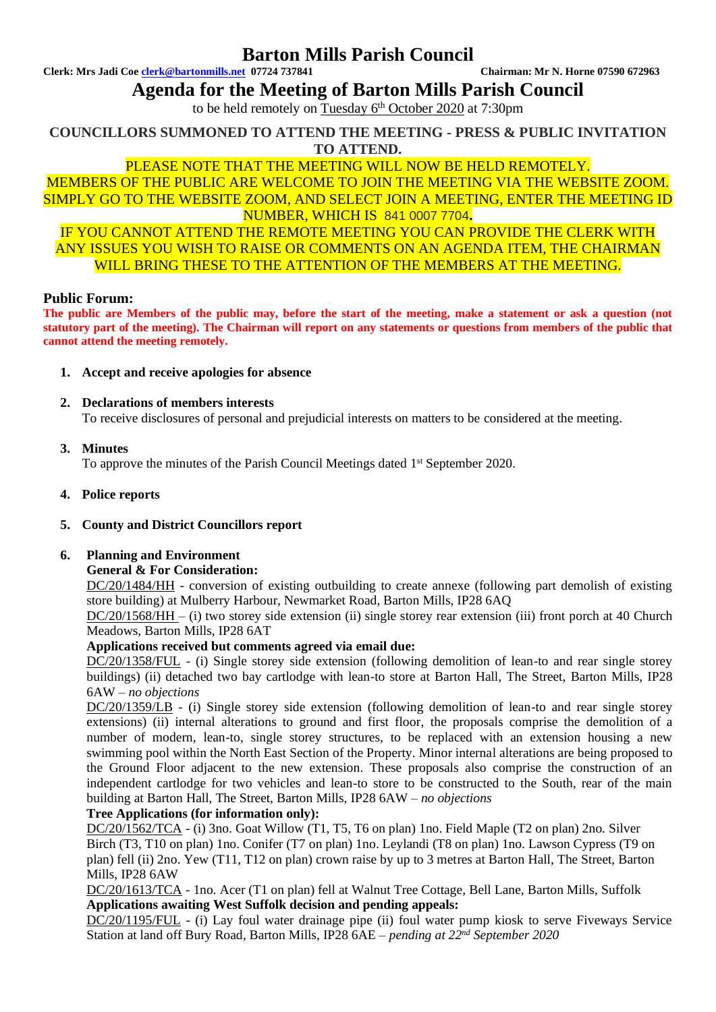# **Barton Mills Parish Council**

**Clerk: Mrs Jadi Coe [clerk@bartonmills.net](mailto:clerk@bartonmills.net) 07724 737841 Chairman: Mr N. Horne 07590 672963**

**Agenda for the Meeting of Barton Mills Parish Council**

to be held remotely on Tuesday 6<sup>th</sup> October 2020 at 7:30pm

**COUNCILLORS SUMMONED TO ATTEND THE MEETING - PRESS & PUBLIC INVITATION TO ATTEND.**

# PLEASE NOTE THAT THE MEETING WILL NOW BE HELD REMOTELY.

MEMBERS OF THE PUBLIC ARE WELCOME TO JOIN THE MEETING VIA THE WEBSITE ZOOM. SIMPLY GO TO THE WEBSITE ZOOM, AND SELECT JOIN A MEETING, ENTER THE MEETING ID NUMBER, WHICH IS 841 0007 7704**.**

IF YOU CANNOT ATTEND THE REMOTE MEETING YOU CAN PROVIDE THE CLERK WITH ANY ISSUES YOU WISH TO RAISE OR COMMENTS ON AN AGENDA ITEM, THE CHAIRMAN WILL BRING THESE TO THE ATTENTION OF THE MEMBERS AT THE MEETING.

#### **Public Forum:**

**The public are Members of the public may, before the start of the meeting, make a statement or ask a question (not statutory part of the meeting). The Chairman will report on any statements or questions from members of the public that cannot attend the meeting remotely.**

- **1. Accept and receive apologies for absence**
- **2. Declarations of members interests** To receive disclosures of personal and prejudicial interests on matters to be considered at the meeting.
- **3. Minutes**

To approve the minutes of the Parish Council Meetings dated 1<sup>st</sup> September 2020.

- **4. Police reports**
- **5. County and District Councillors report**

# **6. Planning and Environment**

#### **General & For Consideration:**

DC/20/1484/HH - conversion of existing outbuilding to create annexe (following part demolish of existing store building) at Mulberry Harbour, Newmarket Road, Barton Mills, IP28 6AQ

DC/20/1568/HH – (i) two storey side extension (ii) single storey rear extension (iii) front porch at 40 Church Meadows, Barton Mills, IP28 6AT

# **Applications received but comments agreed via email due:**

DC/20/1358/FUL - (i) Single storey side extension (following demolition of lean-to and rear single storey buildings) (ii) detached two bay cartlodge with lean-to store at Barton Hall, The Street, Barton Mills, IP28 6AW *– no objections*

DC/20/1359/LB - (i) Single storey side extension (following demolition of lean-to and rear single storey extensions) (ii) internal alterations to ground and first floor, the proposals comprise the demolition of a number of modern, lean-to, single storey structures, to be replaced with an extension housing a new swimming pool within the North East Section of the Property. Minor internal alterations are being proposed to the Ground Floor adjacent to the new extension. These proposals also comprise the construction of an independent cartlodge for two vehicles and lean-to store to be constructed to the South, rear of the main building at Barton Hall, The Street, Barton Mills, IP28 6AW *– no objections*

# **Tree Applications (for information only):**

DC/20/1562/TCA - (i) 3no. Goat Willow (T1, T5, T6 on plan) 1no. Field Maple (T2 on plan) 2no. Silver Birch (T3, T10 on plan) 1no. Conifer (T7 on plan) 1no. Leylandi (T8 on plan) 1no. Lawson Cypress (T9 on plan) fell (ii) 2no. Yew (T11, T12 on plan) crown raise by up to 3 metres at Barton Hall, The Street, Barton Mills, IP28 6AW

DC/20/1613/TCA - 1no. Acer (T1 on plan) fell at Walnut Tree Cottage, Bell Lane, Barton Mills, Suffolk **Applications awaiting West Suffolk decision and pending appeals:**

DC/20/1195/FUL - (i) Lay foul water drainage pipe (ii) foul water pump kiosk to serve Fiveways Service Station at land off Bury Road, Barton Mills, IP28 6AE – *pending at 22 nd September 2020*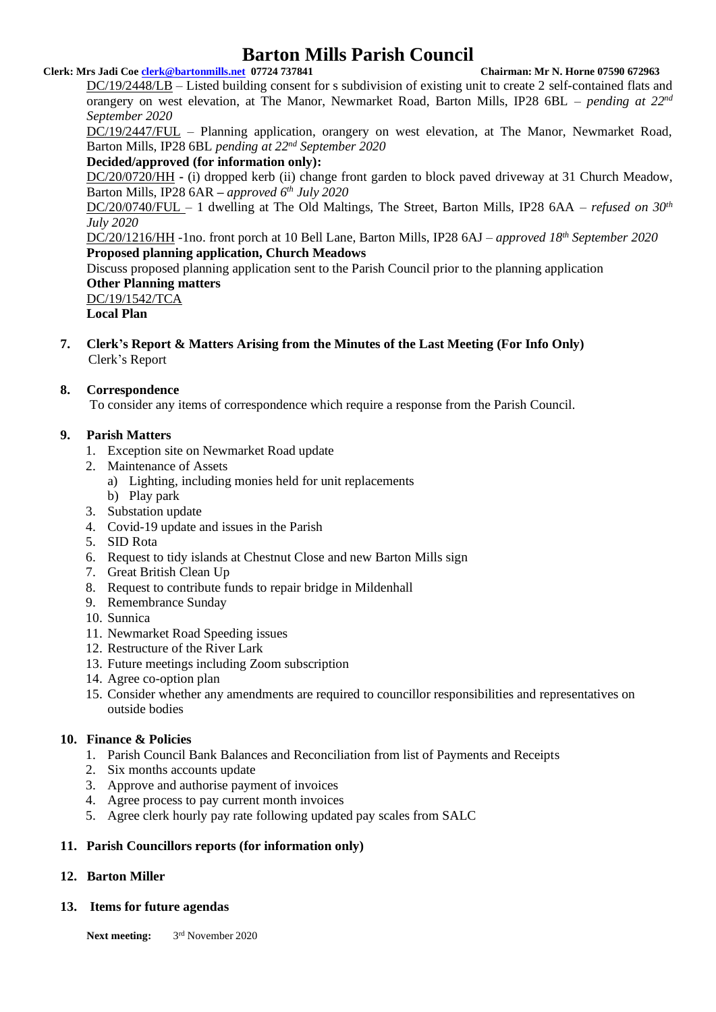# **Barton Mills Parish Council**

#### **Clerk: Mrs Jadi Coe [clerk@bartonmills.net](mailto:clerk@bartonmills.net) 07724 737841 Chairman: Mr N. Horne 07590 672963**

DC/19/2448/LB – Listed building consent for s subdivision of existing unit to create 2 self-contained flats and orangery on west elevation, at The Manor, Newmarket Road, Barton Mills, IP28 6BL – *pending at 22<sup>nd</sup> September 2020*

DC/19/2447/FUL – Planning application, orangery on west elevation, at The Manor, Newmarket Road, Barton Mills, IP28 6BL *pending at 22 nd September 2020*

#### **Decided/approved (for information only):**

DC/20/0720/HH **-** (i) dropped kerb (ii) change front garden to block paved driveway at 31 Church Meadow, Barton Mills, IP28 6AR *– approved 6th July 2020*

DC/20/0740/FUL – 1 dwelling at The Old Maltings, The Street, Barton Mills, IP28 6AA – *refused on 30th July 2020*

DC/20/1216/HH -1no. front porch at 10 Bell Lane, Barton Mills, IP28 6AJ – *approved 18th September 2020* **Proposed planning application, Church Meadows**

Discuss proposed planning application sent to the Parish Council prior to the planning application **Other Planning matters**

DC/19/1542/TCA **Local Plan**

- 
- **7. Clerk's Report & Matters Arising from the Minutes of the Last Meeting (For Info Only)** Clerk's Report

# **8. Correspondence**

To consider any items of correspondence which require a response from the Parish Council.

# **9. Parish Matters**

- 1. Exception site on Newmarket Road update
- 2. Maintenance of Assets
	- a) Lighting, including monies held for unit replacements
	- b) Play park
- 3. Substation update
- 4. Covid-19 update and issues in the Parish
- 5. SID Rota
- 6. Request to tidy islands at Chestnut Close and new Barton Mills sign
- 7. Great British Clean Up
- 8. Request to contribute funds to repair bridge in Mildenhall
- 9. Remembrance Sunday
- 10. Sunnica
- 11. Newmarket Road Speeding issues
- 12. Restructure of the River Lark
- 13. Future meetings including Zoom subscription
- 14. Agree co-option plan
- 15. Consider whether any amendments are required to councillor responsibilities and representatives on outside bodies

# **10. Finance & Policies**

- 1. Parish Council Bank Balances and Reconciliation from list of Payments and Receipts
- 2. Six months accounts update
- 3. Approve and authorise payment of invoices
- 4. Agree process to pay current month invoices
- 5. Agree clerk hourly pay rate following updated pay scales from SALC

# **11. Parish Councillors reports (for information only)**

# **12. Barton Miller**

#### **13. Items for future agendas**

**Next meeting:** 3rd November 2020